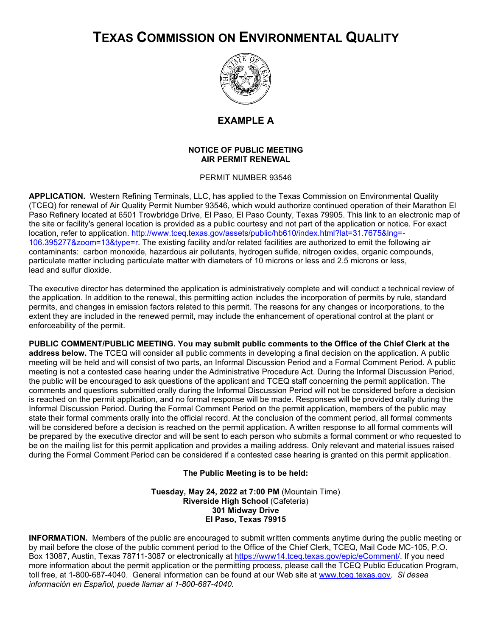## **TEXAS COMMISSION ON ENVIRONMENTAL QUALITY**



## **EXAMPLE A**

## **NOTICE OF PUBLIC MEETING AIR PERMIT RENEWAL**

PERMIT NUMBER 93546

**APPLICATION.** Western Refining Terminals, LLC, has applied to the Texas Commission on Environmental Quality (TCEQ) for renewal of Air Quality Permit Number 93546, which would authorize continued operation of their Marathon El Paso Refinery located at 6501 Trowbridge Drive, El Paso, El Paso County, Texas 79905. This link to an electronic map of the site or facility's general location is provided as a public courtesy and not part of the application or notice. For exact location, refer to application. [http://www.tceq.texas.gov/assets/public/hb610/index.html?lat=31.7675&lng=-](http://www.tceq.texas.gov/assets/public/hb610/index.html?lat=31.7675&lng=-106.395277&zoom=13&type=r) [106.395277&zoom=13&type=r.](http://www.tceq.texas.gov/assets/public/hb610/index.html?lat=31.7675&lng=-106.395277&zoom=13&type=r) The existing facility and/or related facilities are authorized to emit the following air contaminants: carbon monoxide, hazardous air pollutants, hydrogen sulfide, nitrogen oxides, organic compounds, particulate matter including particulate matter with diameters of 10 microns or less and 2.5 microns or less, lead and sulfur dioxide.

The executive director has determined the application is administratively complete and will conduct a technical review of the application. In addition to the renewal, this permitting action includes the incorporation of permits by rule, standard permits, and changes in emission factors related to this permit. The reasons for any changes or incorporations, to the extent they are included in the renewed permit, may include the enhancement of operational control at the plant or enforceability of the permit.

**PUBLIC COMMENT/PUBLIC MEETING. You may submit public comments to the Office of the Chief Clerk at the address below.** The TCEQ will consider all public comments in developing a final decision on the application. A public meeting will be held and will consist of two parts, an Informal Discussion Period and a Formal Comment Period. A public meeting is not a contested case hearing under the Administrative Procedure Act. During the Informal Discussion Period, the public will be encouraged to ask questions of the applicant and TCEQ staff concerning the permit application. The comments and questions submitted orally during the Informal Discussion Period will not be considered before a decision is reached on the permit application, and no formal response will be made. Responses will be provided orally during the Informal Discussion Period. During the Formal Comment Period on the permit application, members of the public may state their formal comments orally into the official record. At the conclusion of the comment period, all formal comments will be considered before a decision is reached on the permit application. A written response to all formal comments will be prepared by the executive director and will be sent to each person who submits a formal comment or who requested to be on the mailing list for this permit application and provides a mailing address. Only relevant and material issues raised during the Formal Comment Period can be considered if a contested case hearing is granted on this permit application.

## **The Public Meeting is to be held:**

**Tuesday, May 24, 2022 at 7:00 PM** (Mountain Time) **Riverside High School** (Cafeteria) **301 Midway Drive El Paso, Texas 79915**

**INFORMATION.** Members of the public are encouraged to submit written comments anytime during the public meeting or by mail before the close of the public comment period to the Office of the Chief Clerk, TCEQ, Mail Code MC-105, P.O. Box 13087, Austin, Texas 78711-3087 or electronically at [https://www14.tceq.texas.gov/epic/eComment/.](https://www14.tceq.texas.gov/epic/eComment/) If you need more information about the permit application or the permitting process, please call the TCEQ Public Education Program, toll free, at 1-800-687-4040. General information can be found at our Web site at [www.tceq.texas.gov.](http://www.tceq.texas.gov/) *Si desea información en Español, puede llamar al 1-800-687-4040.*